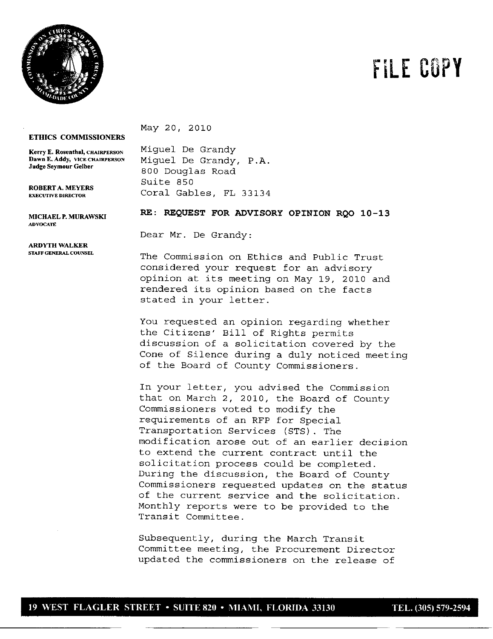

## FILE **COPY**

## **ETHICS COMMISSIONERS**

**ROBERT A.** MEYERS

**ADVOCATE**

**ARDYTH WALKER**

May 20, 2010

**Kerry E. Rosenthal, CHAIRPERSON** Miguel De Grandy<br>**Dawn E. Addy, VICE CHAIRPERSON** Miguel De Grandy Dawn **E.** Addy, VICE CHAIRPERSON Miguel De Grandy, P.A. **Judge Seymour Gelber** 800 Douglas Road Suite 850 Coral Gables, FL 33134

MICHAELF.MIJRAWSKI **RE: REQUEST FOR ADVISORY OPINION** RQO **10-13**

Dear *Mr.* De Grandy:

The Commission on Ethics and Public Trust considered your request for an advisory opinion at its meeting on May 19, 2010 and rendered its opinion based on the facts stated in your letter.

You requested an opinion regarding whether the Citizens' Bill of Rights permits discussion of a solicitation covered by the Cone of Silence during a duly noticed meeting of the Board of County Commissioners.

In your letter, you advised the Commission that on March 2, 2010, the Board of County Commissioners voted to modify the requirements of an RFP for Special Transportation Services (STS). The modification arose out of an earlier decision to extend the current contract until the solicitation process could be completed. During the discussion, the Board of County Commissioners requested updates on the status of the current service and the solicitation. Monthly reports were to be provided to the Transit Committee.

Subsequently, during the March Transit Committee meeting, the Procurement Director updated the commissioners on the release of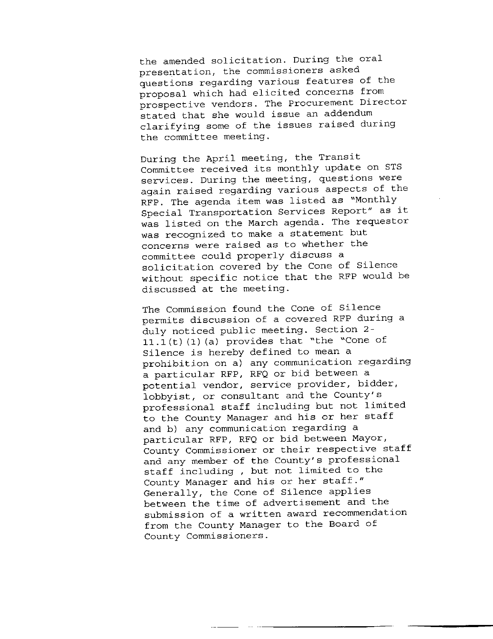the amended solicitation. During the oral presentation, the commissioners asked questions regarding various features of the proposal which had elicited concerns from prospective vendors. The Procurement Director stated that she would issue an addendum clarifying some of the issues raised during the committee meeting.

During the April meeting, the Transit Committee received its monthly update on STS services. During the meeting, questions were again raised regarding various aspects of the RFP. The agenda item was listed as "Monthly Special Transportation Services Report" as it was listed on the March agenda. The requestor was recognized to make a statement but concerns were raised as to whether the committee could properly discuss a solicitation covered by the Cone of Silence without specific notice that the RFP would be discussed at the meeting.

The Commission found the Cone of Silence permits discussion of a covered RFP during a duly noticed public meeting. Section 2-  $11.1(t)$  (1) (a) provides that "the "Cone of Silence is hereby defined to mean a prohibition on a) any communication regarding a particular RFP, RFQ or bid between a potential vendor, service provider, bidder, lobbyist, or consultant and the County's professional staff including but not limited to the County Manager and his or her staff and b) any communication regarding a particular RFP, RFQ or bid between Mayor, County Commissioner or their respective staff and any member of the County's professional staff including , but not limited to the County Manager and his or her staff." Generally, the Cone of Silence applies between the time of advertisement and the submission of a written award recommendation from the County Manager to the Board of County Commissioners.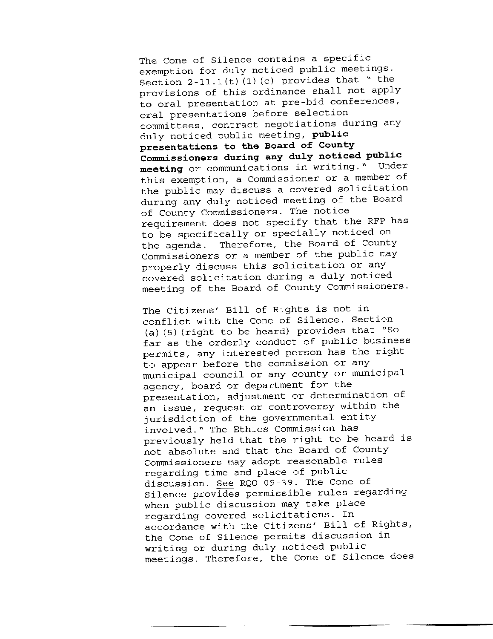The Cone of Silence contains a specific exemption for duly noticed public meetings. Section  $2-11.1(t)$  (1) (c) provides that " the provisions of this ordinance shall not apply to oral presentation at pre-bid conferences, oral presentations before selection committees, contract negotiations during any duly noticed public meeting, public presentations to the Board of County Commissioners during any duly noticed public meeting or communications in writing." Under this exemption, a Commissioner or a member of the public may discuss a covered solicitation during any duly noticed meeting of the Board of County Commissioners. The notice requirement does not specify that the RFP has to be specifically or specially noticed on the agenda. Therefore, the Board of County Commissioners or a member of the public may properly discuss this solicitation or any covered solicitation during a duly noticed meeting of the Board of County Commissioners.

The Citizens' Bill of Rights is not in conflict with the Cone of Silence. Section (a)  $(5)$  (right to be heard) provides that "So far as the orderly conduct of public business permits, any interested person has the right to appear before the commission or any municipal council or any county or municipal agency, board or department for the presentation, adjustment or determination of an issue, request or controversy within the jurisdiction of the governmental entity involved." The Ethics Commission has previously held that the right to be heard is not absolute and that the Board of County Commissioners may adopt reasonable rules regarding time and place of public discussion. See RQO 09-39. The Cone of Silence provides permissible rules regarding when public discussion may take place regarding covered solicitations. In accordance with the Citizens' Bill of Rights, the Cone of Silence permits discussion in writing or during duly noticed public meetings. Therefore, the Cone of Silence does